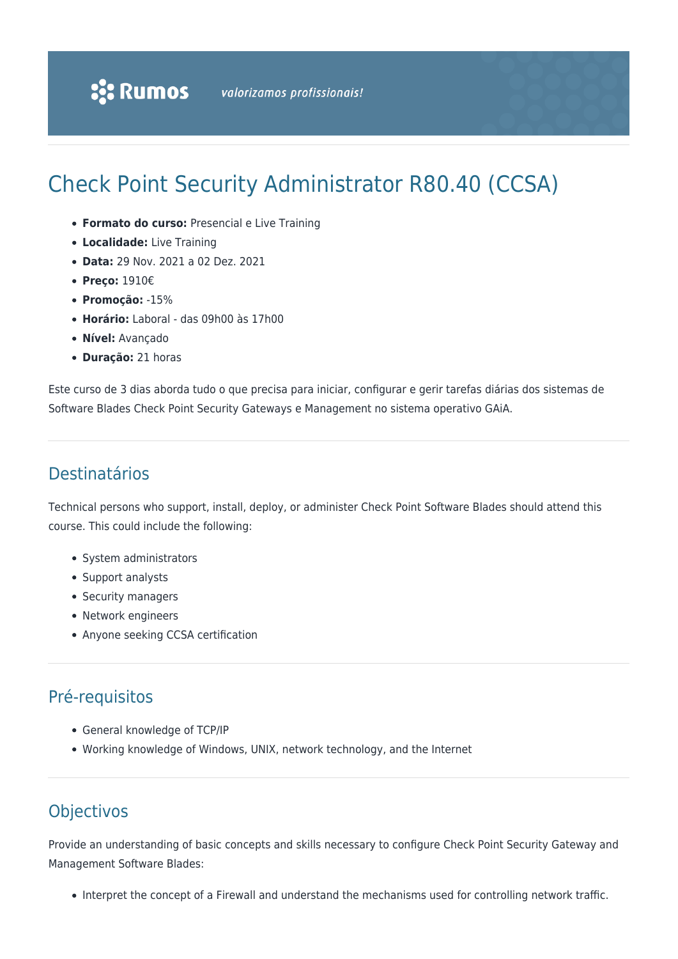# Check Point Security Administrator R80.40 (CCSA)

- **Formato do curso:** Presencial e Live Training
- **Localidade:** Live Training
- **Data:** 29 Nov. 2021 a 02 Dez. 2021
- **Preço:** 1910€
- **Promoção:** -15%
- **Horário:** Laboral das 09h00 às 17h00
- **Nível:** Avançado
- **Duração:** 21 horas

Este curso de 3 dias aborda tudo o que precisa para iniciar, configurar e gerir tarefas diárias dos sistemas de Software Blades Check Point Security Gateways e Management no sistema operativo GAiA.

## Destinatários

Technical persons who support, install, deploy, or administer Check Point Software Blades should attend this course. This could include the following:

- System administrators
- Support analysts
- Security managers
- Network engineers
- Anyone seeking CCSA certification

# Pré-requisitos

- General knowledge of TCP/IP
- Working knowledge of Windows, UNIX, network technology, and the Internet

# **Objectivos**

Provide an understanding of basic concepts and skills necessary to configure Check Point Security Gateway and Management Software Blades:

• Interpret the concept of a Firewall and understand the mechanisms used for controlling network traffic.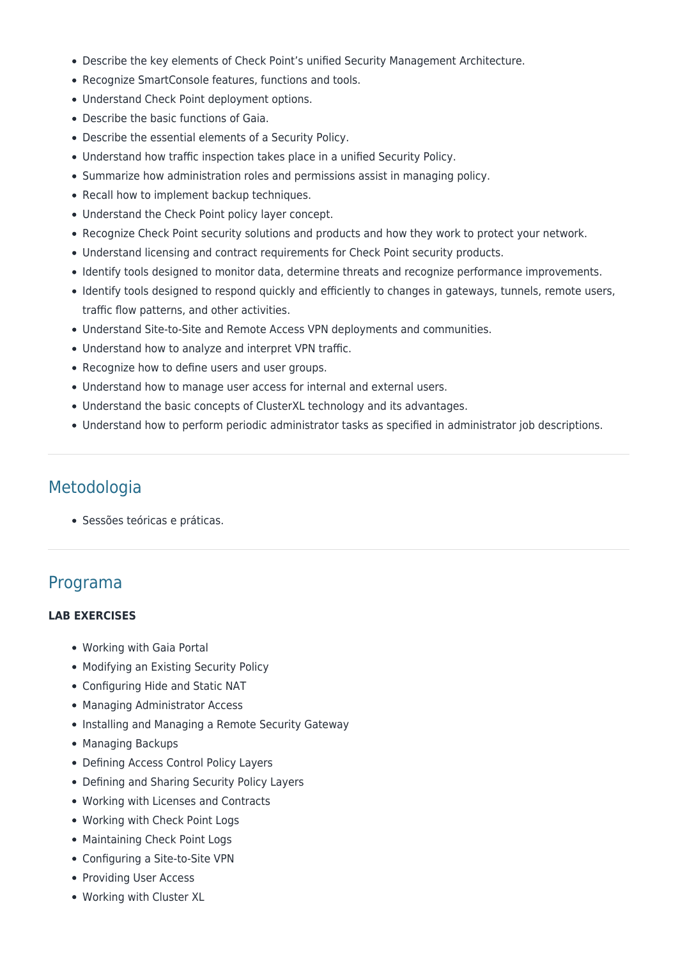- Describe the key elements of Check Point's unified Security Management Architecture.
- Recognize SmartConsole features, functions and tools.
- Understand Check Point deployment options.
- Describe the basic functions of Gaia.
- Describe the essential elements of a Security Policy.
- Understand how traffic inspection takes place in a unified Security Policy.
- Summarize how administration roles and permissions assist in managing policy.
- Recall how to implement backup techniques.
- Understand the Check Point policy layer concept.
- Recognize Check Point security solutions and products and how they work to protect your network.
- Understand licensing and contract requirements for Check Point security products.
- Identify tools designed to monitor data, determine threats and recognize performance improvements.
- Identify tools designed to respond quickly and efficiently to changes in gateways, tunnels, remote users, traffic flow patterns, and other activities.
- Understand Site-to-Site and Remote Access VPN deployments and communities.
- Understand how to analyze and interpret VPN traffic.
- Recognize how to define users and user groups.
- Understand how to manage user access for internal and external users.
- Understand the basic concepts of ClusterXL technology and its advantages.
- Understand how to perform periodic administrator tasks as specified in administrator job descriptions.

#### Metodologia

Sessões teóricas e práticas.

### Programa

#### **LAB EXERCISES**

- Working with Gaia Portal
- Modifying an Existing Security Policy
- Configuring Hide and Static NAT
- Managing Administrator Access
- Installing and Managing a Remote Security Gateway
- Managing Backups
- Defining Access Control Policy Layers
- Defining and Sharing Security Policy Layers
- Working with Licenses and Contracts
- Working with Check Point Logs
- Maintaining Check Point Logs
- Configuring a Site-to-Site VPN
- Providing User Access
- Working with Cluster XL